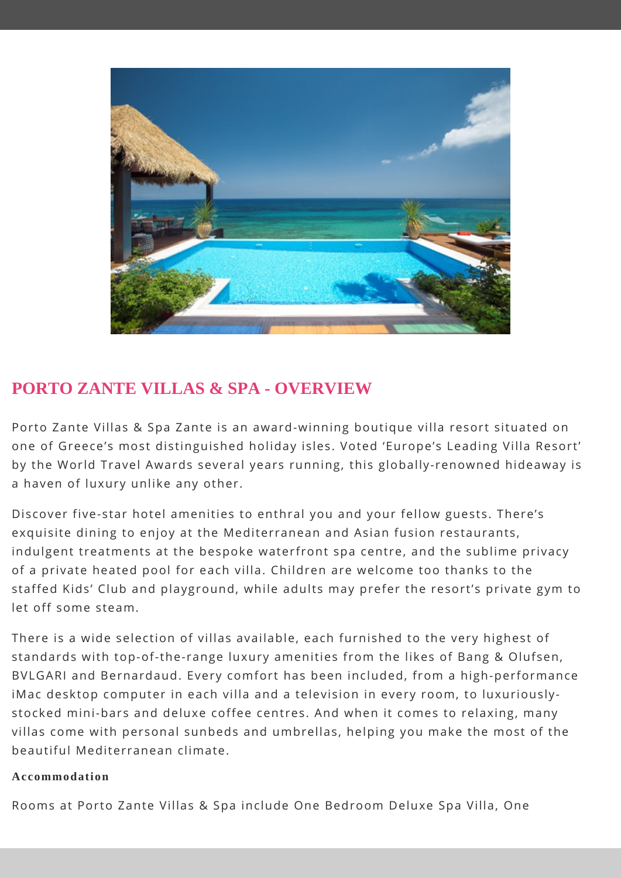

## **PORTO ZANTE VILLAS & SPA - OVERVIEW**

Porto Zante Villas & Spa Zante is an award-winning boutique villa resort situated on one of Greece's most distinguished holiday isles. Voted 'Europe's Leading Villa Resort' by the World Travel Awards several years running, this globally-renowned hideaway is a haven of luxury unlike any other.

Discover five-star hotel amenities to enthral you and your fellow guests. There's exquisite dining to enjoy at the Mediterranean and Asian fusion restaurants, indulgent treatments at the bespoke waterfront spa centre, and the sublime privacy of a private heated pool for each villa. Children are welcome too thanks to the staffed Kids' Club and playground, while adults may prefer the resort's private gym to let off some steam.

There is a wide selection of villas available, each furnished to the very highest of standards with top-of-the-range luxury amenities from the likes of Bang & Olufsen, BVLGARI and Bernardaud. Every comfort has been included, from a high-performance iMac desktop computer in each villa and a television in every room, to luxuriouslystocked mini-bars and deluxe coffee centres. And when it comes to relaxing, many villas come with personal sunbeds and umbrellas, helping you make the most of the beautiful Mediterranean climate.

### **Accommodation**

Rooms at Porto Zante Villas & Spa include One Bedroom Deluxe Spa Villa, One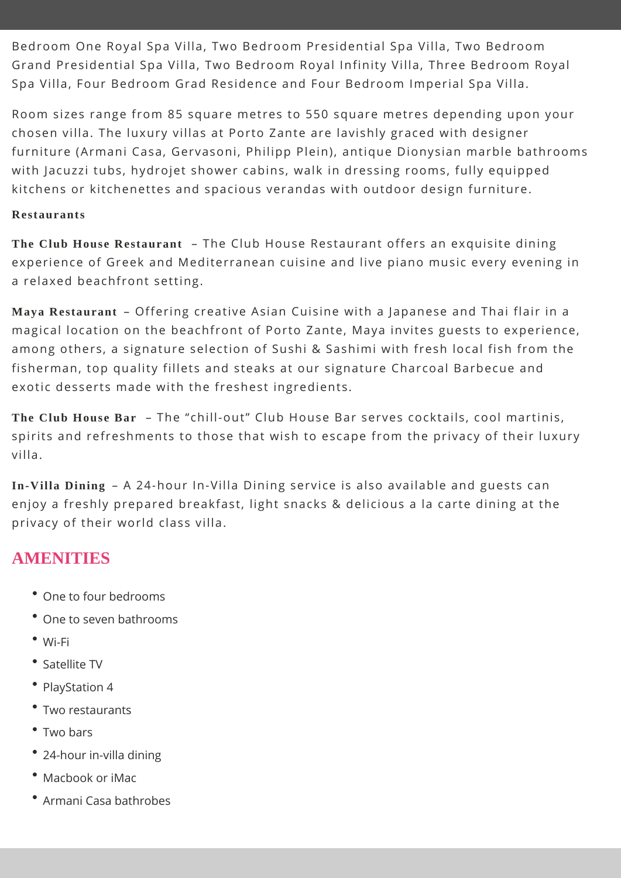Bedroom One Royal Spa Villa, Two Bedroom Presidential Spa Villa, Two Bedroom Grand Presidential Spa Villa, Two Bedroom Royal Infinity Villa, Three Bedroom Royal Spa Villa, Four Bedroom Grad Residence and Four Bedroom Imperial Spa Villa.

Room sizes range from 85 square metres to 550 square metres depending upon your chosen villa. The luxury villas at Porto Zante are lavishly graced with designer furniture (Armani Casa, Gervasoni, Philipp Plein), antique Dionysian marble bathrooms with Jacuzzi tubs, hydrojet shower cabins, walk in dressing rooms, fully equipped kitchens or kitchenettes and spacious verandas with outdoor design furniture.

### **Restaurants**

**The Club House Restaurant** – The Club House Restaurant offers an exquisite dining experience of Greek and Mediterranean cuisine and live piano music every evening in a relaxed beachfront setting.

**Maya Restaurant** – Offering creative Asian Cuisine with a Japanese and Thai flair in a magical location on the beachfront of Porto Zante, Maya invites guests to experience, among others, a signature selection of Sushi & Sashimi with fresh local fish from the fisherman, top quality fillets and steaks at our signature Charcoal Barbecue and exotic desserts made with the freshest ingredients.

**The Club House Bar** – The "chill-out" Club House Bar serves cocktails, cool martinis, spirits and refreshments to those that wish to escape from the privacy of their luxury villa.

**In-Villa Dining** – A 24-hour In-Villa Dining service is also available and guests can enjoy a freshly prepared breakfast, light snacks & delicious a la carte dining at the privacy of their world class villa.

### **AMENITIES**

- One to four bedrooms
- One to seven bathrooms
- Wi-Fi
- Satellite TV
- PlayStation 4
- Two restaurants
- Two bars
- 24-hour in-villa dining
- Macbook or iMac
- Armani Casa bathrobes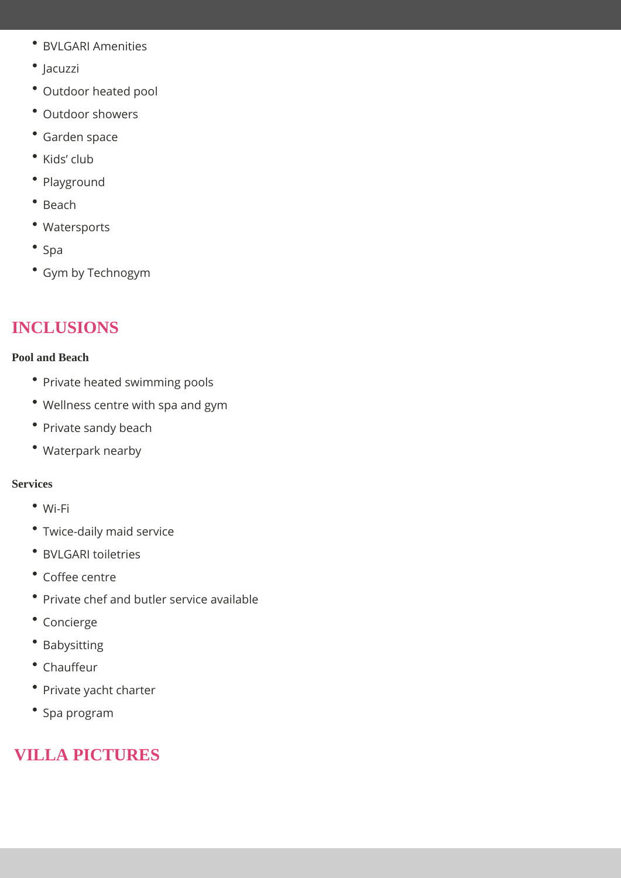- BVLGARI Amenities
- Jacuzzi
- Outdoor heated pool
- Outdoor showers
- Garden space
- Kids' club
- Playground
- Beach
- Watersports
- $\bullet$  Spa
- Gym by Technogym

### **INCLUSIONS**

### **Pool and Beach**

- Private heated swimming pools
- Wellness centre with spa and gym
- Private sandy beach
- Waterpark nearby

### **Services**

- Wi-Fi
- Twice-daily maid service
- BVLGARI toiletries
- Coffee centre
- Private chef and butler service available
- Concierge
- Babysitting
- Chauffeur
- Private yacht charter
- Spa program

# **VILLA PICTURES**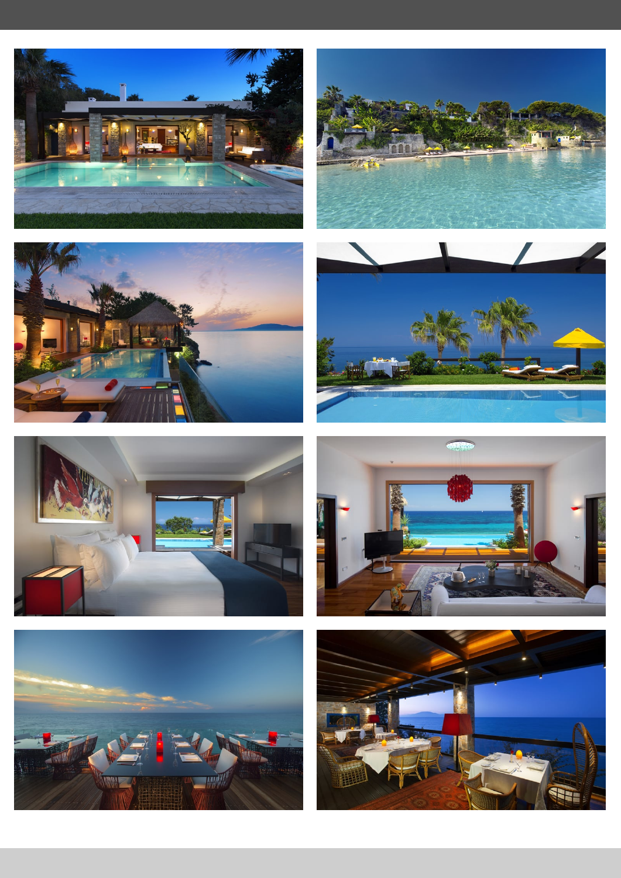